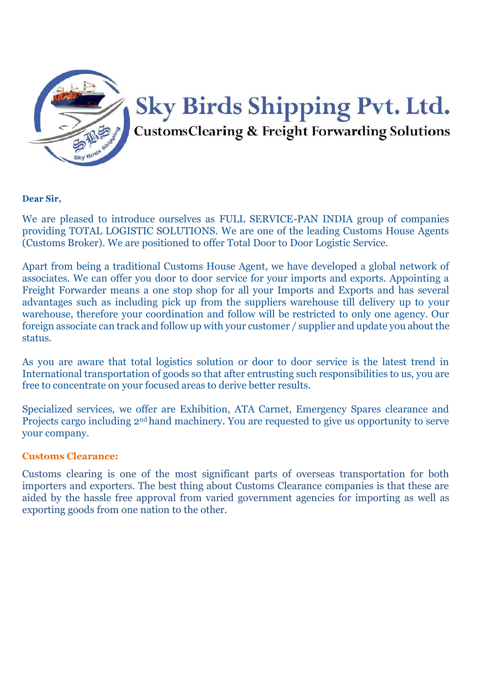

#### **Dear Sir,**

We are pleased to introduce ourselves as FULL SERVICE-PAN INDIA group of companies providing TOTAL LOGISTIC SOLUTIONS. We are one of the leading Customs House Agents (Customs Broker). We are positioned to offer Total Door to Door Logistic Service.

Apart from being a traditional Customs House Agent, we have developed a global network of associates. We can offer you door to door service for your imports and exports. Appointing a Freight Forwarder means a one stop shop for all your Imports and Exports and has several advantages such as including pick up from the suppliers warehouse till delivery up to your warehouse, therefore your coordination and follow will be restricted to only one agency. Our foreign associate can track and follow up with your customer / supplier and update you about the status.

As you are aware that total logistics solution or door to door service is the latest trend in International transportation of goods so that after entrusting such responsibilities to us, you are free to concentrate on your focused areas to derive better results.

Specialized services, we offer are Exhibition, ATA Carnet, Emergency Spares clearance and Projects cargo including 2nd hand machinery. You are requested to give us opportunity to serve your company.

## **Customs Clearance:**

Customs clearing is one of the most significant parts of overseas transportation for both importers and exporters. The best thing about Customs Clearance companies is that these are aided by the hassle free approval from varied government agencies for importing as well as exporting goods from one nation to the other.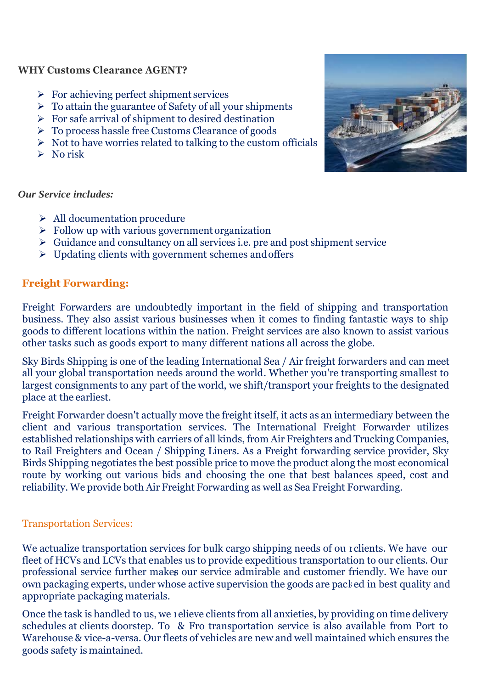## **WHY Customs Clearance AGENT?**

- $\triangleright$  For achieving perfect shipment services
- $\triangleright$  To attain the guarantee of Safety of all your shipments
- $\triangleright$  For safe arrival of shipment to desired destination
- $\triangleright$  To process hassle free Customs Clearance of goods
- $\triangleright$  Not to have worries related to talking to the custom officials
- $\triangleright$  No risk



#### *Our Service includes:*

- $\triangleright$  All documentation procedure
- $\triangleright$  Follow up with various government organization
- $\triangleright$  Guidance and consultancy on all services i.e. pre and post shipment service
- $\triangleright$  Updating clients with government schemes and offers

# **Freight Forwarding:**

Freight Forwarders are undoubtedly important in the field of shipping and transportation business. They also assist various businesses when it comes to finding fantastic ways to ship goods to different locations within the nation. Freight services are also known to assist various other tasks such as goods export to many different nations all across the globe.

Sky Birds Shipping is one of the leading International Sea / Air freight forwarders and can meet all your global transportation needs around the world. Whether you're transporting smallest to largest consignments to any part of the world, we shift/transport your freights to the designated place at the earliest.

Freight Forwarder doesn't actually move the freight itself, it acts as an intermediary between the client and various transportation services. The International Freight Forwarder utilizes established relationships with carriers of all kinds, from Air Freighters and Trucking Companies, to Rail Freighters and Ocean / Shipping Liners. As a Freight forwarding service provider, Sky Birds Shipping negotiates the best possible price to move the product along the most economical route by working out various bids and choosing the one that best balances speed, cost and reliability. We provide both Air Freight Forwarding as well as Sea Freight Forwarding.

# Transportation Services:

professional service further makes our service admirable and customer friendly. We have our We actualize transportation services for bulk cargo shipping needs of ou 1 clients. We have our own packaging experts, under whose active supervision the goods are packed in best quality and fleet of HCVs and LCVs that enables us to provide expeditious transportation to our clients. Our appropriate packaging materials.

Once the task is handled to us, we i elieve clients from all anxieties, by providing on time delivery schedules at clients doorstep. To & Fro transportation service is also available from Port to Warehouse & vice-a-versa. Our fleets of vehicles are new and well maintained which ensures the goods safety is maintained.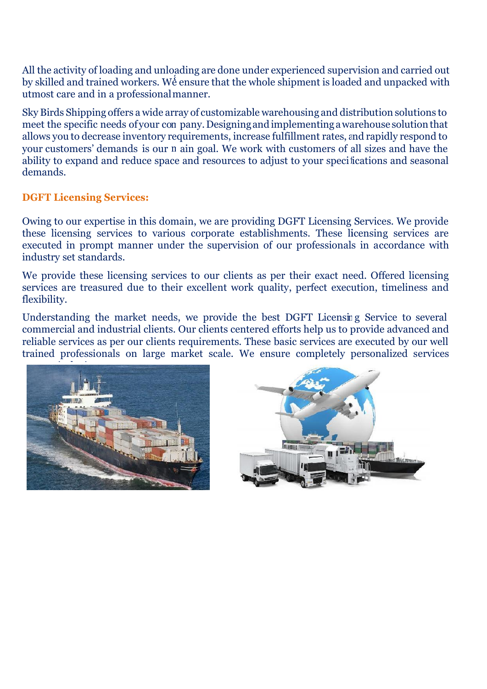a by skilled and trained workers. We ensure that the whole shipment is loaded and unpacked with All the activity of loading and unloading are done under experienced supervision and carried out utmost care and in a professionalmanner.

meet the specific needs of your con pany. Designing and implementing a warehouse solution that your customers' demands is our n ain goal. We work with customers of all sizes and have the a allows you to decrease inventory requirements, increase fulfillment rates, nd rapidly respond to f ability to expand and reduce space and resources to adjust to your speci ications and seasonal Sky Birds Shipping offers a wide array of customizable warehousing and distribution solutions to demands.

## **DGFT Licensing Services:**

i these licensing services to various corporate establishments. These licensing services are Owing to our expertise in this domain, we are providing DGFT Licensing Services. We provide executed in prompt manner under the supervision of our professionals in accordance with industry set standards.

We provide these licensing services to our clients as per their exact need. Offered licensing services are treasured due to their excellent work quality, perfect execution, timeliness and flexibility.

Understanding the market needs, we provide the best DGFT Licensit g Service to several commercial and industrial clients. Our clients centered efforts help us to provide advanced and reliable services as per our clients requirements. These basic services are executed by our well trained professionals on large market scale. We ensure completely personalized services